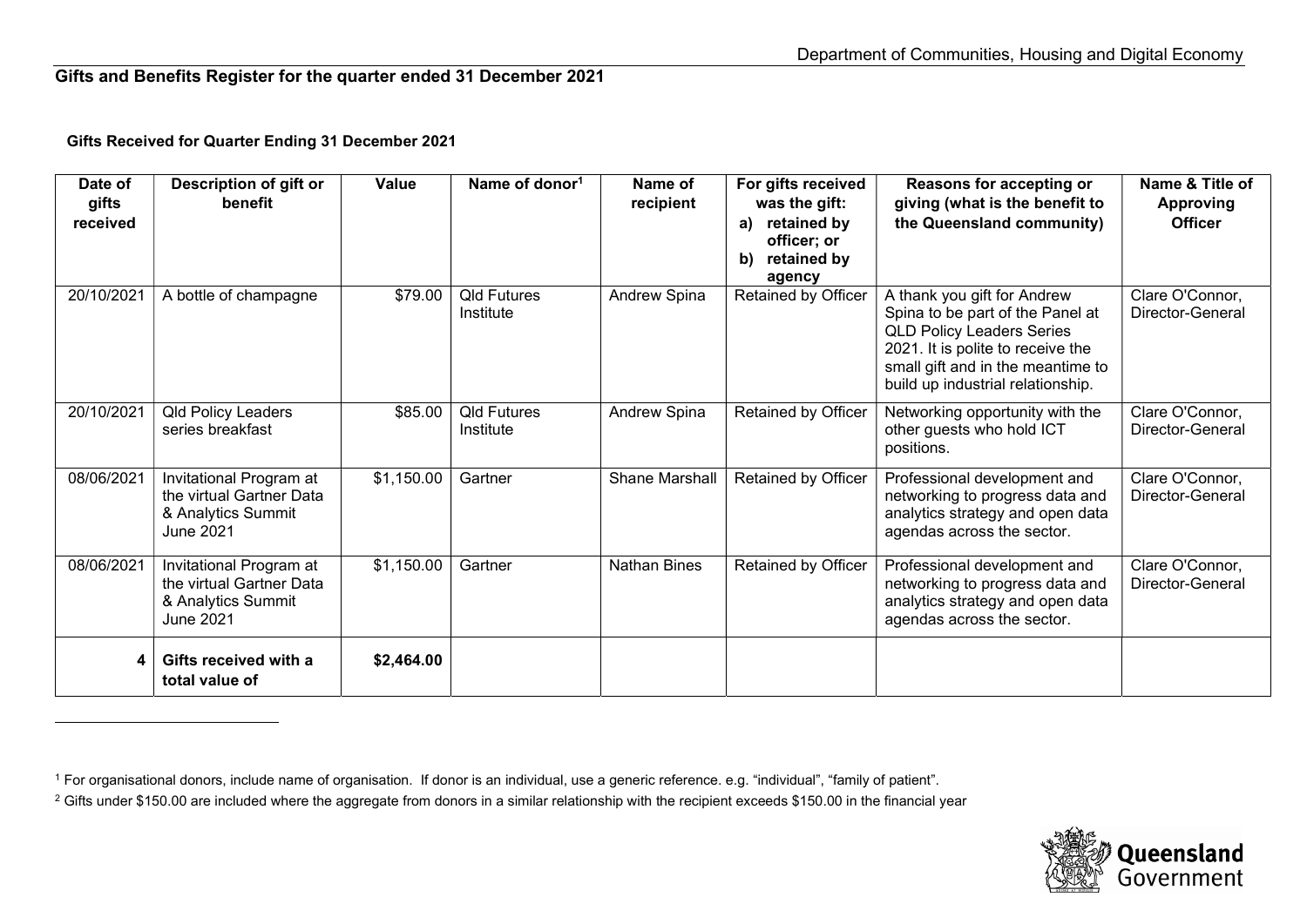## Gifts and Benefits Register for the quarter ended 31 December 2021

## Gifts Received for Quarter Ending 31 December 2021

| Date of<br>gifts<br>received | Description of gift or<br>benefit                                                             | Value      | Name of donor <sup>1</sup>      | Name of<br>recipient | For gifts received<br>was the gift:<br>retained by<br>a)<br>officer; or<br>retained by<br>b)<br>agency | Reasons for accepting or<br>giving (what is the benefit to<br>the Queensland community)                                                                                                                            | Name & Title of<br><b>Approving</b><br><b>Officer</b> |
|------------------------------|-----------------------------------------------------------------------------------------------|------------|---------------------------------|----------------------|--------------------------------------------------------------------------------------------------------|--------------------------------------------------------------------------------------------------------------------------------------------------------------------------------------------------------------------|-------------------------------------------------------|
| 20/10/2021                   | A bottle of champagne                                                                         | \$79.00    | <b>Qld Futures</b><br>Institute | Andrew Spina         | Retained by Officer                                                                                    | A thank you gift for Andrew<br>Spina to be part of the Panel at<br><b>QLD Policy Leaders Series</b><br>2021. It is polite to receive the<br>small gift and in the meantime to<br>build up industrial relationship. | Clare O'Connor,<br>Director-General                   |
| 20/10/2021                   | <b>Qld Policy Leaders</b><br>series breakfast                                                 | \$85.00    | <b>Qld Futures</b><br>Institute | Andrew Spina         | <b>Retained by Officer</b>                                                                             | Networking opportunity with the<br>other guests who hold ICT<br>positions.                                                                                                                                         | Clare O'Connor,<br>Director-General                   |
| 08/06/2021                   | Invitational Program at<br>the virtual Gartner Data<br>& Analytics Summit<br><b>June 2021</b> | \$1,150.00 | Gartner                         | Shane Marshall       | Retained by Officer                                                                                    | Professional development and<br>networking to progress data and<br>analytics strategy and open data<br>agendas across the sector.                                                                                  | Clare O'Connor,<br>Director-General                   |
| 08/06/2021                   | Invitational Program at<br>the virtual Gartner Data<br>& Analytics Summit<br><b>June 2021</b> | \$1,150.00 | Gartner                         | <b>Nathan Bines</b>  | Retained by Officer                                                                                    | Professional development and<br>networking to progress data and<br>analytics strategy and open data<br>agendas across the sector.                                                                                  | Clare O'Connor,<br>Director-General                   |
|                              | Gifts received with a<br>total value of                                                       | \$2,464.00 |                                 |                      |                                                                                                        |                                                                                                                                                                                                                    |                                                       |



<sup>1</sup> For organisational donors, include name of organisation. If donor is an individual, use a generic reference. e.g. "individual", "family of patient".

 $^2$  Gifts under \$150.00 are included where the aggregate from donors in a similar relationship with the recipient exceeds \$150.00 in the financial year